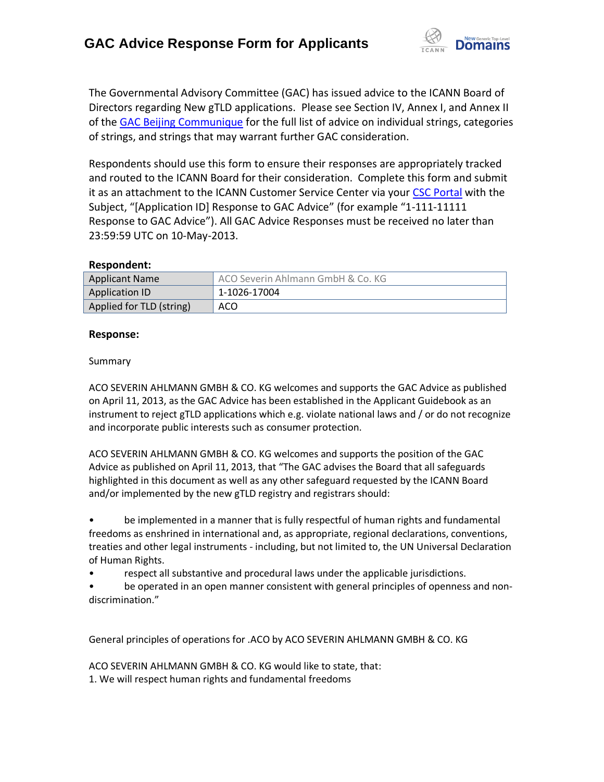

The Governmental Advisory Committee (GAC) has issued advice to the ICANN Board of Directors regarding New gTLD applications. Please see Section IV, Annex I, and Annex II of the [GAC Beijing Communique](http://www.icann.org/en/news/correspondence/gac-to-board-18apr13-en.pdf) for the full list of advice on individual strings, categories of strings, and strings that may warrant further GAC consideration.

Respondents should use this form to ensure their responses are appropriately tracked and routed to the ICANN Board for their consideration. Complete this form and submit it as an attachment to the ICANN Customer Service Center via your CSC [Portal](https://myicann.secure.force.com/) with the Subject, "[Application ID] Response to GAC Advice" (for example "1-111-11111 Response to GAC Advice"). All GAC Advice Responses must be received no later than 23:59:59 UTC on 10-May-2013.

## **Respondent:**

| <b>Applicant Name</b>    | ACO Severin Ahlmann GmbH & Co. KG |
|--------------------------|-----------------------------------|
| Application ID           | 1-1026-17004                      |
| Applied for TLD (string) | ACO                               |

## **Response:**

## Summary

ACO SEVERIN AHLMANN GMBH & CO. KG welcomes and supports the GAC Advice as published on April 11, 2013, as the GAC Advice has been established in the Applicant Guidebook as an instrument to reject gTLD applications which e.g. violate national laws and / or do not recognize and incorporate public interests such as consumer protection.

ACO SEVERIN AHLMANN GMBH & CO. KG welcomes and supports the position of the GAC Advice as published on April 11, 2013, that "The GAC advises the Board that all safeguards highlighted in this document as well as any other safeguard requested by the ICANN Board and/or implemented by the new gTLD registry and registrars should:

• be implemented in a manner that is fully respectful of human rights and fundamental freedoms as enshrined in international and, as appropriate, regional declarations, conventions, treaties and other legal instruments - including, but not limited to, the UN Universal Declaration of Human Rights.

• respect all substantive and procedural laws under the applicable jurisdictions.

be operated in an open manner consistent with general principles of openness and nondiscrimination."

General principles of operations for .ACO by ACO SEVERIN AHLMANN GMBH & CO. KG

ACO SEVERIN AHLMANN GMBH & CO. KG would like to state, that: 1. We will respect human rights and fundamental freedoms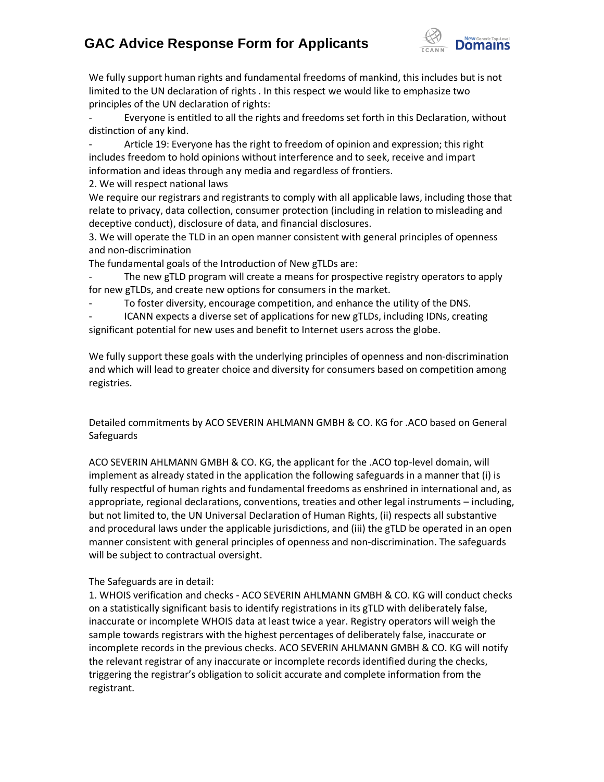# **GAC Advice Response Form for Applicants**



We fully support human rights and fundamental freedoms of mankind, this includes but is not limited to the UN declaration of rights . In this respect we would like to emphasize two principles of the UN declaration of rights:

Everyone is entitled to all the rights and freedoms set forth in this Declaration, without distinction of any kind.

Article 19: Everyone has the right to freedom of opinion and expression; this right includes freedom to hold opinions without interference and to seek, receive and impart information and ideas through any media and regardless of frontiers.

2. We will respect national laws

We require our registrars and registrants to comply with all applicable laws, including those that relate to privacy, data collection, consumer protection (including in relation to misleading and deceptive conduct), disclosure of data, and financial disclosures.

3. We will operate the TLD in an open manner consistent with general principles of openness and non‐discrimination

The fundamental goals of the Introduction of New gTLDs are:

- The new gTLD program will create a means for prospective registry operators to apply for new gTLDs, and create new options for consumers in the market.

To foster diversity, encourage competition, and enhance the utility of the DNS.

ICANN expects a diverse set of applications for new gTLDs, including IDNs, creating significant potential for new uses and benefit to Internet users across the globe.

We fully support these goals with the underlying principles of openness and non-discrimination and which will lead to greater choice and diversity for consumers based on competition among registries.

Detailed commitments by ACO SEVERIN AHLMANN GMBH & CO. KG for .ACO based on General **Safeguards** 

ACO SEVERIN AHLMANN GMBH & CO. KG, the applicant for the .ACO top-level domain, will implement as already stated in the application the following safeguards in a manner that (i) is fully respectful of human rights and fundamental freedoms as enshrined in international and, as appropriate, regional declarations, conventions, treaties and other legal instruments – including, but not limited to, the UN Universal Declaration of Human Rights, (ii) respects all substantive and procedural laws under the applicable jurisdictions, and (iii) the gTLD be operated in an open manner consistent with general principles of openness and non‐discrimination. The safeguards will be subject to contractual oversight.

## The Safeguards are in detail:

1. WHOIS verification and checks - ACO SEVERIN AHLMANN GMBH & CO. KG will conduct checks on a statistically significant basis to identify registrations in its gTLD with deliberately false, inaccurate or incomplete WHOIS data at least twice a year. Registry operators will weigh the sample towards registrars with the highest percentages of deliberately false, inaccurate or incomplete records in the previous checks. ACO SEVERIN AHLMANN GMBH & CO. KG will notify the relevant registrar of any inaccurate or incomplete records identified during the checks, triggering the registrar's obligation to solicit accurate and complete information from the registrant.